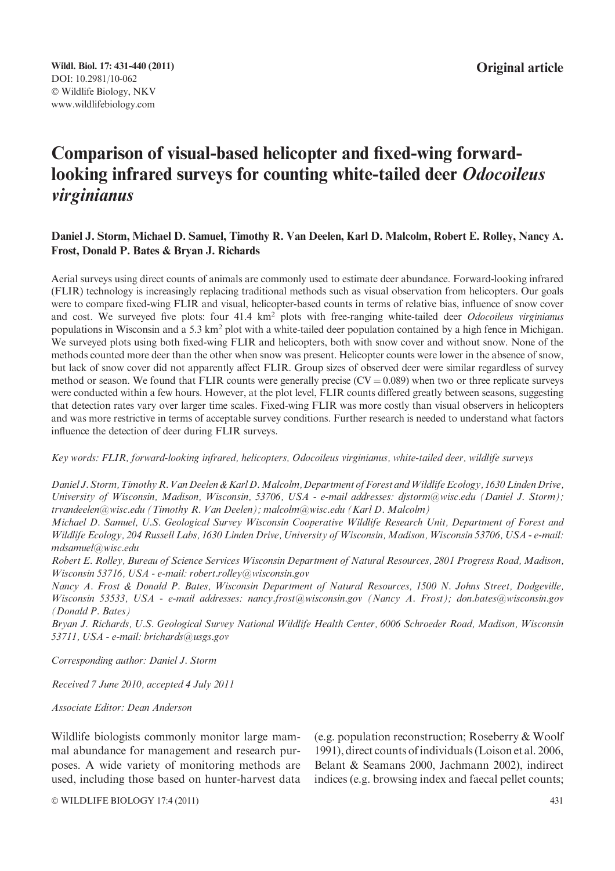# Comparison of visual-based helicopter and fixed-wing forwardlooking infrared surveys for counting white-tailed deer Odocoileus virginianus

## Daniel J. Storm, Michael D. Samuel, Timothy R. Van Deelen, Karl D. Malcolm, Robert E. Rolley, Nancy A. Frost, Donald P. Bates & Bryan J. Richards

Aerial surveys using direct counts of animals are commonly used to estimate deer abundance. Forward-looking infrared (FLIR) technology is increasingly replacing traditional methods such as visual observation from helicopters. Our goals were to compare fixed-wing FLIR and visual, helicopter-based counts in terms of relative bias, influence of snow cover and cost. We surveyed five plots: four 41.4 km<sup>2</sup> plots with free-ranging white-tailed deer Odocoileus virginianus populations in Wisconsin and a 5.3 km2 plot with a white-tailed deer population contained by a high fence in Michigan. We surveyed plots using both fixed-wing FLIR and helicopters, both with snow cover and without snow. None of the methods counted more deer than the other when snow was present. Helicopter counts were lower in the absence of snow, but lack of snow cover did not apparently affect FLIR. Group sizes of observed deer were similar regardless of survey method or season. We found that FLIR counts were generally precise  $(CV = 0.089)$  when two or three replicate surveys were conducted within a few hours. However, at the plot level, FLIR counts differed greatly between seasons, suggesting that detection rates vary over larger time scales. Fixed-wing FLIR was more costly than visual observers in helicopters and was more restrictive in terms of acceptable survey conditions. Further research is needed to understand what factors influence the detection of deer during FLIR surveys.

Key words: FLIR, forward-looking infrared, helicopters, Odocoileus virginianus, white-tailed deer, wildlife surveys

Daniel J. Storm, Timothy R. Van Deelen & Karl D. Malcolm, Department of Forest and Wildlife Ecology, 1630 Linden Drive, University of Wisconsin, Madison, Wisconsin, 53706, USA - e-mail addresses: djstorm@wisc.edu (Daniel J. Storm); trvandeelen@wisc.edu (Timothy R. Van Deelen); malcolm@wisc.edu (Karl D. Malcolm)

Michael D. Samuel, U.S. Geological Survey Wisconsin Cooperative Wildlife Research Unit, Department of Forest and Wildlife Ecology, 204 Russell Labs, 1630 Linden Drive, University of Wisconsin, Madison, Wisconsin 53706, USA - e-mail: mdsamuel@wisc.edu

Robert E. Rolley, Bureau of Science Services Wisconsin Department of Natural Resources, 2801 Progress Road, Madison, Wisconsin 53716, USA - e-mail: robert.rolley@wisconsin.gov

Nancy A. Frost & Donald P. Bates, Wisconsin Department of Natural Resources, 1500 N. Johns Street, Dodgeville, Wisconsin 53533, USA - e-mail addresses: nancy.frost@wisconsin.gov (Nancy A. Frost); don.bates@wisconsin.gov (Donald P. Bates)

Bryan J. Richards, U.S. Geological Survey National Wildlife Health Center, 6006 Schroeder Road, Madison, Wisconsin 53711, USA - e-mail: brichards@usgs.gov

Corresponding author: Daniel J. Storm

Received 7 June 2010, accepted 4 July 2011

Associate Editor: Dean Anderson

Wildlife biologists commonly monitor large mammal abundance for management and research purposes. A wide variety of monitoring methods are used, including those based on hunter-harvest data (e.g. population reconstruction; Roseberry & Woolf 1991), direct counts of individuals (Loison et al. 2006, Belant & Seamans 2000, Jachmann 2002), indirect indices (e.g. browsing index and faecal pellet counts;

© WILDLIFE BIOLOGY 17:4 (2011) 431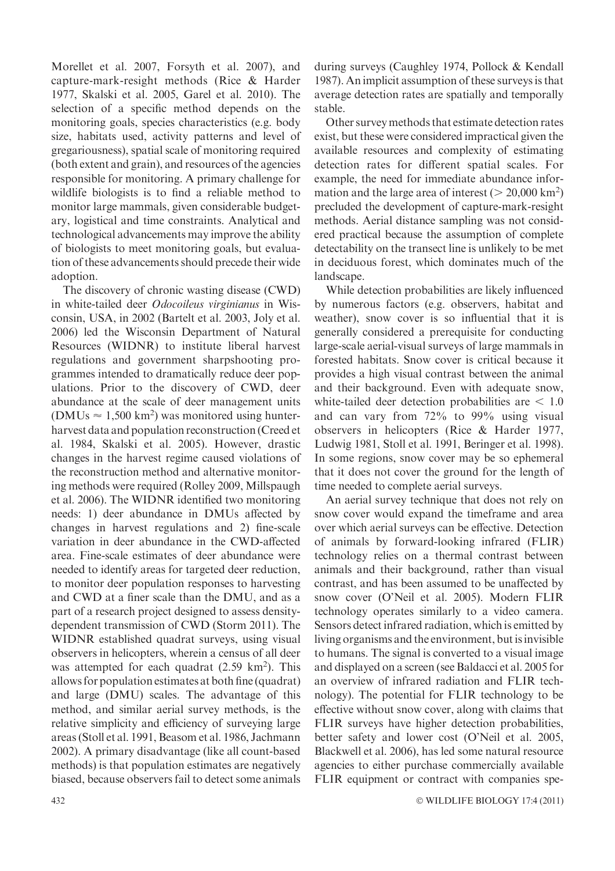Morellet et al. 2007, Forsyth et al. 2007), and capture-mark-resight methods (Rice & Harder 1977, Skalski et al. 2005, Garel et al. 2010). The selection of a specific method depends on the monitoring goals, species characteristics (e.g. body size, habitats used, activity patterns and level of gregariousness), spatial scale of monitoring required (both extent and grain), and resources of the agencies responsible for monitoring. A primary challenge for wildlife biologists is to find a reliable method to monitor large mammals, given considerable budgetary, logistical and time constraints. Analytical and technological advancements may improve the ability of biologists to meet monitoring goals, but evaluation of these advancements should precede their wide adoption.

The discovery of chronic wasting disease (CWD) in white-tailed deer Odocoileus virginianus in Wisconsin, USA, in 2002 (Bartelt et al. 2003, Joly et al. 2006) led the Wisconsin Department of Natural Resources (WIDNR) to institute liberal harvest regulations and government sharpshooting programmes intended to dramatically reduce deer populations. Prior to the discovery of CWD, deer abundance at the scale of deer management units (DMUs  $\approx 1,500 \text{ km}^2$ ) was monitored using hunterharvest data and population reconstruction (Creed et al. 1984, Skalski et al. 2005). However, drastic changes in the harvest regime caused violations of the reconstruction method and alternative monitoring methods were required (Rolley 2009, Millspaugh et al. 2006). The WIDNR identified two monitoring needs: 1) deer abundance in DMUs affected by changes in harvest regulations and 2) fine-scale variation in deer abundance in the CWD-affected area. Fine-scale estimates of deer abundance were needed to identify areas for targeted deer reduction, to monitor deer population responses to harvesting and CWD at a finer scale than the DMU, and as a part of a research project designed to assess densitydependent transmission of CWD (Storm 2011). The WIDNR established quadrat surveys, using visual observers in helicopters, wherein a census of all deer was attempted for each quadrat (2.59 km<sup>2</sup>). This allows for population estimates at both fine (quadrat) and large (DMU) scales. The advantage of this method, and similar aerial survey methods, is the relative simplicity and efficiency of surveying large areas (Stoll et al. 1991, Beasom et al. 1986, Jachmann 2002). A primary disadvantage (like all count-based methods) is that population estimates are negatively biased, because observers fail to detect some animals

during surveys (Caughley 1974, Pollock & Kendall 1987). An implicit assumption of these surveys is that average detection rates are spatially and temporally stable.

Other survey methods that estimate detection rates exist, but these were considered impractical given the available resources and complexity of estimating detection rates for different spatial scales. For example, the need for immediate abundance information and the large area of interest ( $> 20,000$  km<sup>2</sup>) precluded the development of capture-mark-resight methods. Aerial distance sampling was not considered practical because the assumption of complete detectability on the transect line is unlikely to be met in deciduous forest, which dominates much of the landscape.

While detection probabilities are likely influenced by numerous factors (e.g. observers, habitat and weather), snow cover is so influential that it is generally considered a prerequisite for conducting large-scale aerial-visual surveys of large mammals in forested habitats. Snow cover is critical because it provides a high visual contrast between the animal and their background. Even with adequate snow, white-tailed deer detection probabilities are  $< 1.0$ and can vary from 72% to 99% using visual observers in helicopters (Rice & Harder 1977, Ludwig 1981, Stoll et al. 1991, Beringer et al. 1998). In some regions, snow cover may be so ephemeral that it does not cover the ground for the length of time needed to complete aerial surveys.

An aerial survey technique that does not rely on snow cover would expand the timeframe and area over which aerial surveys can be effective. Detection of animals by forward-looking infrared (FLIR) technology relies on a thermal contrast between animals and their background, rather than visual contrast, and has been assumed to be unaffected by snow cover (O'Neil et al. 2005). Modern FLIR technology operates similarly to a video camera. Sensors detect infrared radiation, which is emitted by living organisms and the environment, but is invisible to humans. The signal is converted to a visual image and displayed on a screen (see Baldacci et al. 2005 for an overview of infrared radiation and FLIR technology). The potential for FLIR technology to be effective without snow cover, along with claims that FLIR surveys have higher detection probabilities, better safety and lower cost (O'Neil et al. 2005, Blackwell et al. 2006), has led some natural resource agencies to either purchase commercially available FLIR equipment or contract with companies spe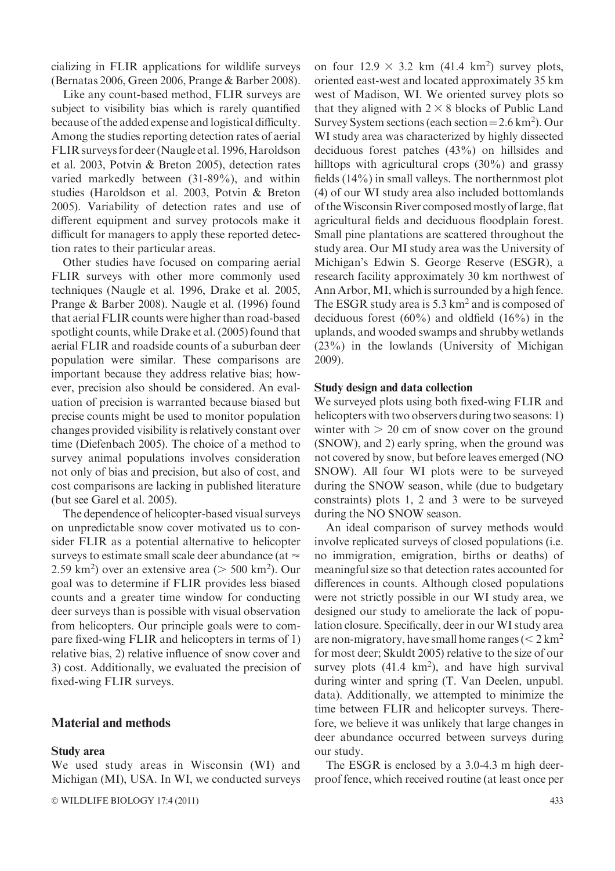cializing in FLIR applications for wildlife surveys (Bernatas 2006, Green 2006, Prange & Barber 2008).

Like any count-based method, FLIR surveys are subject to visibility bias which is rarely quantified because of the added expense and logistical difficulty. Among the studies reporting detection rates of aerial FLIR surveys for deer (Naugle et al. 1996, Haroldson et al. 2003, Potvin & Breton 2005), detection rates varied markedly between (31-89%), and within studies (Haroldson et al. 2003, Potvin & Breton 2005). Variability of detection rates and use of different equipment and survey protocols make it difficult for managers to apply these reported detection rates to their particular areas.

Other studies have focused on comparing aerial FLIR surveys with other more commonly used techniques (Naugle et al. 1996, Drake et al. 2005, Prange & Barber 2008). Naugle et al. (1996) found that aerial FLIR counts were higher than road-based spotlight counts, while Drake et al. (2005) found that aerial FLIR and roadside counts of a suburban deer population were similar. These comparisons are important because they address relative bias; however, precision also should be considered. An evaluation of precision is warranted because biased but precise counts might be used to monitor population changes provided visibility is relatively constant over time (Diefenbach 2005). The choice of a method to survey animal populations involves consideration not only of bias and precision, but also of cost, and cost comparisons are lacking in published literature (but see Garel et al. 2005).

The dependence of helicopter-based visual surveys on unpredictable snow cover motivated us to consider FLIR as a potential alternative to helicopter surveys to estimate small scale deer abundance (at  $\approx$  $2.59 \text{ km}^2$ ) over an extensive area ( $> 500 \text{ km}^2$ ). Our goal was to determine if FLIR provides less biased counts and a greater time window for conducting deer surveys than is possible with visual observation from helicopters. Our principle goals were to compare fixed-wing FLIR and helicopters in terms of 1) relative bias, 2) relative influence of snow cover and 3) cost. Additionally, we evaluated the precision of fixed-wing FLIR surveys.

## Material and methods

#### Study area

We used study areas in Wisconsin (WI) and Michigan (MI), USA. In WI, we conducted surveys

 $\circ$  WILDLIFE BIOLOGY 17:4 (2011) 433

on four  $12.9 \times 3.2$  km  $(41.4 \text{ km}^2)$  survey plots, oriented east-west and located approximately 35 km west of Madison, WI. We oriented survey plots so that they aligned with  $2 \times 8$  blocks of Public Land Survey System sections (each section =  $2.6 \text{ km}^2$ ). Our WI study area was characterized by highly dissected deciduous forest patches (43%) on hillsides and hilltops with agricultural crops (30%) and grassy fields (14%) in small valleys. The northernmost plot (4) of our WI study area also included bottomlands of theWisconsin River composed mostly of large, flat agricultural fields and deciduous floodplain forest. Small pine plantations are scattered throughout the study area. Our MI study area was the University of Michigan's Edwin S. George Reserve (ESGR), a research facility approximately 30 km northwest of Ann Arbor, MI, which is surrounded by a high fence. The ESGR study area is  $5.3 \text{ km}^2$  and is composed of deciduous forest  $(60\%)$  and oldfield  $(16\%)$  in the uplands, and wooded swamps and shrubby wetlands (23%) in the lowlands (University of Michigan 2009).

#### Study design and data collection

We surveyed plots using both fixed-wing FLIR and helicopters with two observers during two seasons: 1) winter with  $> 20$  cm of snow cover on the ground (SNOW), and 2) early spring, when the ground was not covered by snow, but before leaves emerged (NO SNOW). All four WI plots were to be surveyed during the SNOW season, while (due to budgetary constraints) plots 1, 2 and 3 were to be surveyed during the NO SNOW season.

An ideal comparison of survey methods would involve replicated surveys of closed populations (i.e. no immigration, emigration, births or deaths) of meaningful size so that detection rates accounted for differences in counts. Although closed populations were not strictly possible in our WI study area, we designed our study to ameliorate the lack of population closure. Specifically, deer in our WI study area are non-migratory, have small home ranges  $(< 2 \text{ km}^2$ for most deer; Skuldt 2005) relative to the size of our survey plots  $(41.4 \text{ km}^2)$ , and have high survival during winter and spring (T. Van Deelen, unpubl. data). Additionally, we attempted to minimize the time between FLIR and helicopter surveys. Therefore, we believe it was unlikely that large changes in deer abundance occurred between surveys during our study.

The ESGR is enclosed by a 3.0-4.3 m high deerproof fence, which received routine (at least once per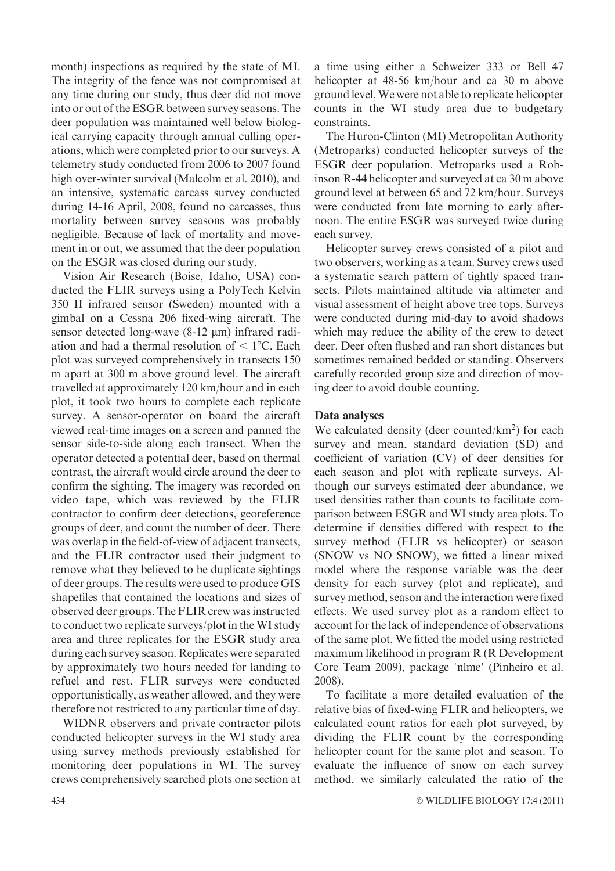month) inspections as required by the state of MI. The integrity of the fence was not compromised at any time during our study, thus deer did not move into or out of the ESGR between survey seasons. The deer population was maintained well below biological carrying capacity through annual culling operations, which were completed prior to our surveys. A telemetry study conducted from 2006 to 2007 found high over-winter survival (Malcolm et al. 2010), and an intensive, systematic carcass survey conducted during 14-16 April, 2008, found no carcasses, thus mortality between survey seasons was probably negligible. Because of lack of mortality and movement in or out, we assumed that the deer population on the ESGR was closed during our study.

Vision Air Research (Boise, Idaho, USA) conducted the FLIR surveys using a PolyTech Kelvin 350 II infrared sensor (Sweden) mounted with a gimbal on a Cessna 206 fixed-wing aircraft. The sensor detected long-wave  $(8-12 \mu m)$  infrared radiation and had a thermal resolution of  $\leq 1^{\circ}$ C. Each plot was surveyed comprehensively in transects 150 m apart at 300 m above ground level. The aircraft travelled at approximately 120 km/hour and in each plot, it took two hours to complete each replicate survey. A sensor-operator on board the aircraft viewed real-time images on a screen and panned the sensor side-to-side along each transect. When the operator detected a potential deer, based on thermal contrast, the aircraft would circle around the deer to confirm the sighting. The imagery was recorded on video tape, which was reviewed by the FLIR contractor to confirm deer detections, georeference groups of deer, and count the number of deer. There was overlap in the field-of-view of adjacent transects, and the FLIR contractor used their judgment to remove what they believed to be duplicate sightings of deer groups. The results were used to produce GIS shapefiles that contained the locations and sizes of observed deer groups. The FLIR crew was instructed to conduct two replicate surveys/plot in the WI study area and three replicates for the ESGR study area during each survey season. Replicates were separated by approximately two hours needed for landing to refuel and rest. FLIR surveys were conducted opportunistically, as weather allowed, and they were therefore not restricted to any particular time of day.

WIDNR observers and private contractor pilots conducted helicopter surveys in the WI study area using survey methods previously established for monitoring deer populations in WI. The survey crews comprehensively searched plots one section at

a time using either a Schweizer 333 or Bell 47 helicopter at 48-56 km/hour and ca 30 m above ground level.We were not able to replicate helicopter counts in the WI study area due to budgetary constraints.

The Huron-Clinton (MI) Metropolitan Authority (Metroparks) conducted helicopter surveys of the ESGR deer population. Metroparks used a Robinson R-44 helicopter and surveyed at ca 30 m above ground level at between 65 and 72 km/hour. Surveys were conducted from late morning to early afternoon. The entire ESGR was surveyed twice during each survey.

Helicopter survey crews consisted of a pilot and two observers, working as a team. Survey crews used a systematic search pattern of tightly spaced transects. Pilots maintained altitude via altimeter and visual assessment of height above tree tops. Surveys were conducted during mid-day to avoid shadows which may reduce the ability of the crew to detect deer. Deer often flushed and ran short distances but sometimes remained bedded or standing. Observers carefully recorded group size and direction of moving deer to avoid double counting.

### Data analyses

We calculated density (deer counted/ $km<sup>2</sup>$ ) for each survey and mean, standard deviation (SD) and coefficient of variation (CV) of deer densities for each season and plot with replicate surveys. Although our surveys estimated deer abundance, we used densities rather than counts to facilitate comparison between ESGR and WI study area plots. To determine if densities differed with respect to the survey method (FLIR vs helicopter) or season (SNOW vs NO SNOW), we fitted a linear mixed model where the response variable was the deer density for each survey (plot and replicate), and survey method, season and the interaction were fixed effects. We used survey plot as a random effect to account for the lack of independence of observations of the same plot. We fitted the model using restricted maximum likelihood in program R (R Development Core Team 2009), package 'nlme' (Pinheiro et al. 2008).

To facilitate a more detailed evaluation of the relative bias of fixed-wing FLIR and helicopters, we calculated count ratios for each plot surveyed, by dividing the FLIR count by the corresponding helicopter count for the same plot and season. To evaluate the influence of snow on each survey method, we similarly calculated the ratio of the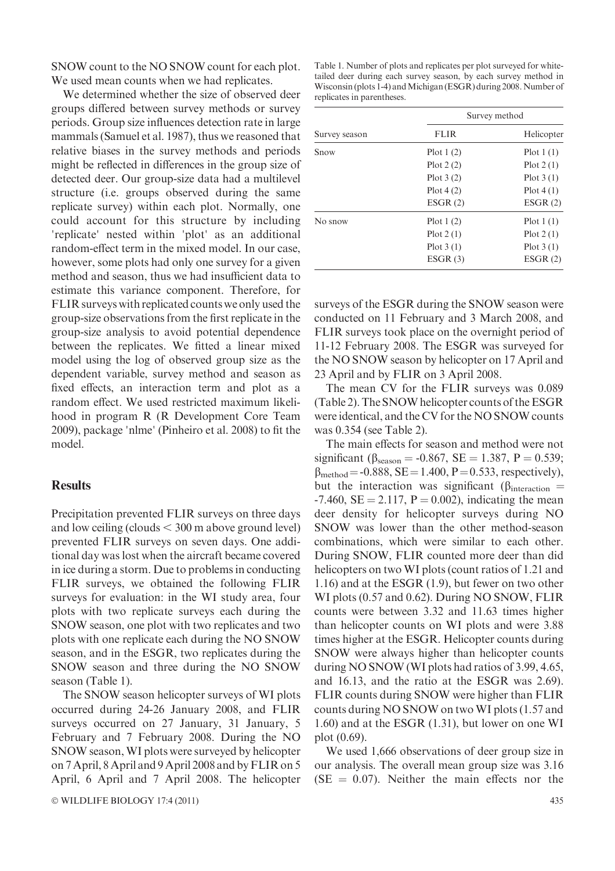SNOW count to the NO SNOW count for each plot. We used mean counts when we had replicates.

We determined whether the size of observed deer groups differed between survey methods or survey periods. Group size influences detection rate in large mammals (Samuel et al. 1987), thus we reasoned that relative biases in the survey methods and periods might be reflected in differences in the group size of detected deer. Our group-size data had a multilevel structure (i.e. groups observed during the same replicate survey) within each plot. Normally, one could account for this structure by including 'replicate' nested within 'plot' as an additional random-effect term in the mixed model. In our case, however, some plots had only one survey for a given method and season, thus we had insufficient data to estimate this variance component. Therefore, for FLIR surveys with replicated counts we only used the group-size observations from the first replicate in the group-size analysis to avoid potential dependence between the replicates. We fitted a linear mixed model using the log of observed group size as the dependent variable, survey method and season as fixed effects, an interaction term and plot as a random effect. We used restricted maximum likelihood in program R (R Development Core Team 2009), package 'nlme' (Pinheiro et al. 2008) to fit the model.

## **Results**

Precipitation prevented FLIR surveys on three days and low ceiling (clouds  $\leq$  300 m above ground level) prevented FLIR surveys on seven days. One additional day was lost when the aircraft became covered in ice during a storm. Due to problems in conducting FLIR surveys, we obtained the following FLIR surveys for evaluation: in the WI study area, four plots with two replicate surveys each during the SNOW season, one plot with two replicates and two plots with one replicate each during the NO SNOW season, and in the ESGR, two replicates during the SNOW season and three during the NO SNOW season (Table 1).

The SNOW season helicopter surveys of WI plots occurred during 24-26 January 2008, and FLIR surveys occurred on 27 January, 31 January, 5 February and 7 February 2008. During the NO SNOW season,WI plots were surveyed by helicopter on 7 April, 8 April and 9 April 2008 and by FLIR on 5 April, 6 April and 7 April 2008. The helicopter Table 1. Number of plots and replicates per plot surveyed for whitetailed deer during each survey season, by each survey method in Wisconsin (plots 1-4) and Michigan (ESGR) during 2008. Number of replicates in parentheses.

|               | Survey method |             |  |  |
|---------------|---------------|-------------|--|--|
| Survey season | <b>FLIR</b>   | Helicopter  |  |  |
| Snow          | Plot $1(2)$   | Plot $1(1)$ |  |  |
|               | Plot $2(2)$   | Plot $2(1)$ |  |  |
|               | Plot $3(2)$   | Plot $3(1)$ |  |  |
|               | Plot $4(2)$   | Plot 4(1)   |  |  |
|               | ESGR(2)       | ESGR(2)     |  |  |
| No snow       | Plot $1(2)$   | Plot $1(1)$ |  |  |
|               | Plot $2(1)$   | Plot $2(1)$ |  |  |
|               | Plot $3(1)$   | Plot $3(1)$ |  |  |
|               | ESGR(3)       | ESGR(2)     |  |  |

surveys of the ESGR during the SNOW season were conducted on 11 February and 3 March 2008, and FLIR surveys took place on the overnight period of 11-12 February 2008. The ESGR was surveyed for the NO SNOW season by helicopter on 17 April and 23 April and by FLIR on 3 April 2008.

The mean CV for the FLIR surveys was 0.089 (Table 2). The SNOW helicopter counts of the ESGR were identical, and the CV for the NO SNOW counts was 0.354 (see Table 2).

The main effects for season and method were not significant ( $\beta_{\text{season}} = -0.867$ , SE = 1.387, P = 0.539;  $\beta_{\rm method} = -0.888$ , SE = 1.400, P = 0.533, respectively), but the interaction was significant ( $\beta$ <sub>interaction</sub> =  $-7.460$ , SE = 2.117, P = 0.002), indicating the mean deer density for helicopter surveys during NO SNOW was lower than the other method-season combinations, which were similar to each other. During SNOW, FLIR counted more deer than did helicopters on two WI plots (count ratios of 1.21 and 1.16) and at the ESGR (1.9), but fewer on two other WI plots (0.57 and 0.62). During NO SNOW, FLIR counts were between 3.32 and 11.63 times higher than helicopter counts on WI plots and were 3.88 times higher at the ESGR. Helicopter counts during SNOW were always higher than helicopter counts during NO SNOW (WI plots had ratios of 3.99, 4.65, and 16.13, and the ratio at the ESGR was 2.69). FLIR counts during SNOW were higher than FLIR counts during NO SNOW on two WI plots (1.57 and 1.60) and at the ESGR (1.31), but lower on one WI plot (0.69).

We used 1,666 observations of deer group size in our analysis. The overall mean group size was 3.16  $(SE = 0.07)$ . Neither the main effects nor the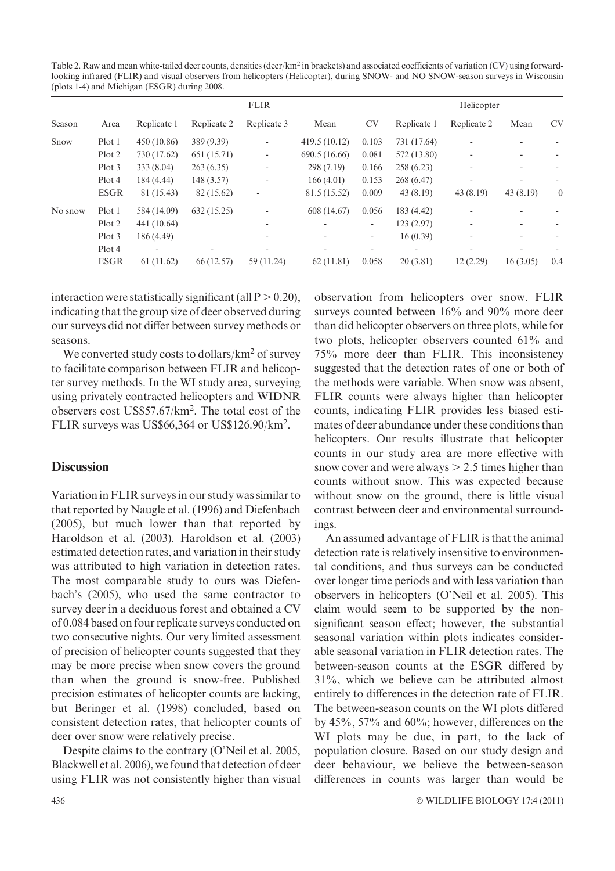Table 2. Raw and mean white-tailed deer counts, densities (deer/km<sup>2</sup> in brackets) and associated coefficients of variation (CV) using forwardlooking infrared (FLIR) and visual observers from helicopters (Helicopter), during SNOW- and NO SNOW-season surveys in Wisconsin (plots 1-4) and Michigan (ESGR) during 2008.

| Season  |             | <b>FLIR</b> |                          |                              | Helicopter    |                          |                          |             |          |           |
|---------|-------------|-------------|--------------------------|------------------------------|---------------|--------------------------|--------------------------|-------------|----------|-----------|
|         | Area        | Replicate 1 | Replicate 2              | Replicate 3                  | Mean          | <b>CV</b>                | Replicate 1              | Replicate 2 | Mean     | <b>CV</b> |
| Snow    | Plot 1      | 450 (10.86) | 389 (9.39)               | ٠                            | 419.5 (10.12) | 0.103                    | 731 (17.64)              |             |          |           |
|         | Plot 2      | 730 (17.62) | 651 (15.71)              | $\qquad \qquad \blacksquare$ | 690.5 (16.66) | 0.081                    | 572 (13.80)              | ٠           |          |           |
|         | Plot 3      | 333 (8.04)  | 263(6.35)                | $\qquad \qquad \blacksquare$ | 298 (7.19)    | 0.166                    | 258(6.23)                | ۰           |          |           |
|         | Plot 4      | 184 (4.44)  | 148 (3.57)               | ٠                            | 166(4.01)     | 0.153                    | 268 (6.47)               | ۰           |          |           |
|         | <b>ESGR</b> | 81 (15.43)  | 82 (15.62)               | ٠                            | 81.5 (15.52)  | 0.009                    | 43(8.19)                 | 43(8.19)    | 43(8.19) | $\theta$  |
| No snow | Plot 1      | 584 (14.09) | 632(15.25)               | ۰                            | 608 (14.67)   | 0.056                    | 183 (4.42)               | ٠           |          |           |
|         | Plot 2      | 441 (10.64) |                          | ۰                            |               | $\overline{\phantom{a}}$ | 123(2.97)                | ۰           |          |           |
|         | Plot 3      | 186 (4.49)  |                          | ۰                            |               | ۰                        | 16(0.39)                 | ۰           |          |           |
|         | Plot 4      | ٠           | $\overline{\phantom{a}}$ | ۰                            |               | $\overline{\phantom{a}}$ | $\overline{\phantom{a}}$ | ۰           | -        |           |
|         | <b>ESGR</b> | 61(11.62)   | 66 (12.57)               | 59 (11.24)                   | 62(11.81)     | 0.058                    | 20(3.81)                 | 12(2.29)    | 16(3.05) | 0.4       |

interaction were statistically significant (all  $P > 0.20$ ), indicating that the group size of deer observed during our surveys did not differ between survey methods or seasons.

We converted study costs to dollars/ $km^2$  of survey to facilitate comparison between FLIR and helicopter survey methods. In the WI study area, surveying using privately contracted helicopters and WIDNR observers cost US\$57.67/km2 . The total cost of the FLIR surveys was US\$66,364 or US\$126.90/km2 .

## **Discussion**

Variation in FLIR surveys in our study was similar to that reported by Naugle et al. (1996) and Diefenbach (2005), but much lower than that reported by Haroldson et al. (2003). Haroldson et al. (2003) estimated detection rates, and variation in their study was attributed to high variation in detection rates. The most comparable study to ours was Diefenbach's (2005), who used the same contractor to survey deer in a deciduous forest and obtained a CV of 0.084 based on four replicate surveys conducted on two consecutive nights. Our very limited assessment of precision of helicopter counts suggested that they may be more precise when snow covers the ground than when the ground is snow-free. Published precision estimates of helicopter counts are lacking, but Beringer et al. (1998) concluded, based on consistent detection rates, that helicopter counts of deer over snow were relatively precise.

Despite claims to the contrary (O'Neil et al. 2005, Blackwell et al. 2006), we found that detection of deer using FLIR was not consistently higher than visual

observation from helicopters over snow. FLIR surveys counted between 16% and 90% more deer than did helicopter observers on three plots, while for two plots, helicopter observers counted 61% and 75% more deer than FLIR. This inconsistency suggested that the detection rates of one or both of the methods were variable. When snow was absent, FLIR counts were always higher than helicopter counts, indicating FLIR provides less biased estimates of deer abundance under these conditions than helicopters. Our results illustrate that helicopter counts in our study area are more effective with snow cover and were always  $> 2.5$  times higher than counts without snow. This was expected because without snow on the ground, there is little visual contrast between deer and environmental surroundings.

An assumed advantage of FLIR is that the animal detection rate is relatively insensitive to environmental conditions, and thus surveys can be conducted over longer time periods and with less variation than observers in helicopters (O'Neil et al. 2005). This claim would seem to be supported by the nonsignificant season effect; however, the substantial seasonal variation within plots indicates considerable seasonal variation in FLIR detection rates. The between-season counts at the ESGR differed by 31%, which we believe can be attributed almost entirely to differences in the detection rate of FLIR. The between-season counts on the WI plots differed by 45%, 57% and 60%; however, differences on the WI plots may be due, in part, to the lack of population closure. Based on our study design and deer behaviour, we believe the between-season differences in counts was larger than would be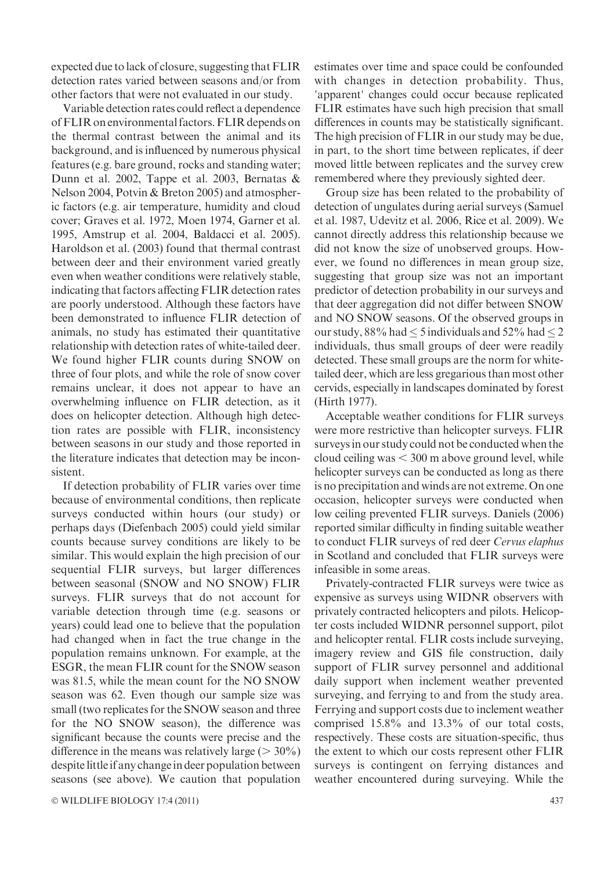expected due to lack of closure, suggesting that FLIR detection rates varied between seasons and/or from other factors that were not evaluated in our study.

Variable detection rates could reflect a dependence of FLIR on environmental factors. FLIR depends on the thermal contrast between the animal and its background, and is influenced by numerous physical features (e.g. bare ground, rocks and standing water; Dunn et al. 2002, Tappe et al. 2003, Bernatas & Nelson 2004, Potvin & Breton 2005) and atmospheric factors (e.g. air temperature, humidity and cloud cover; Graves et al. 1972, Moen 1974, Garner et al. 1995, Amstrup et al. 2004, Baldacci et al. 2005). Haroldson et al. (2003) found that thermal contrast between deer and their environment varied greatly even when weather conditions were relatively stable, indicating that factors affecting FLIR detection rates are poorly understood. Although these factors have been demonstrated to influence FLIR detection of animals, no study has estimated their quantitative relationship with detection rates of white-tailed deer. We found higher FLIR counts during SNOW on three of four plots, and while the role of snow cover remains unclear, it does not appear to have an overwhelming influence on FLIR detection, as it does on helicopter detection. Although high detection rates are possible with FLIR, inconsistency between seasons in our study and those reported in the literature indicates that detection may be inconsistent.

If detection probability of FLIR varies over time because of environmental conditions, then replicate surveys conducted within hours (our study) or perhaps days (Diefenbach 2005) could yield similar counts because survey conditions are likely to be similar. This would explain the high precision of our sequential FLIR surveys, but larger differences between seasonal (SNOW and NO SNOW) FLIR surveys. FLIR surveys that do not account for variable detection through time (e.g. seasons or years) could lead one to believe that the population had changed when in fact the true change in the population remains unknown. For example, at the ESGR, the mean FLIR count for the SNOW season was 81.5, while the mean count for the NO SNOW season was 62. Even though our sample size was small (two replicates for the SNOW season and three for the NO SNOW season), the difference was significant because the counts were precise and the difference in the means was relatively large ( $>$  30%) despite littleif any changein deer population between seasons (see above). We caution that population estimates over time and space could be confounded with changes in detection probability. Thus, 'apparent' changes could occur because replicated FLIR estimates have such high precision that small differences in counts may be statistically significant. The high precision of FLIR in our study may be due, in part, to the short time between replicates, if deer moved little between replicates and the survey crew remembered where they previously sighted deer.

Group size has been related to the probability of detection of ungulates during aerial surveys (Samuel et al. 1987, Udevitz et al. 2006, Rice et al. 2009). We cannot directly address this relationship because we did not know the size of unobserved groups. However, we found no differences in mean group size, suggesting that group size was not an important predictor of detection probability in our surveys and that deer aggregation did not differ between SNOW and NO SNOW seasons. Of the observed groups in our study, 88% had  $\leq$  5 individuals and 52% had  $\leq$  2 individuals, thus small groups of deer were readily detected. These small groups are the norm for whitetailed deer, which are less gregarious than most other cervids, especially in landscapes dominated by forest (Hirth 1977).

Acceptable weather conditions for FLIR surveys were more restrictive than helicopter surveys. FLIR surveys in our study could not be conducted when the cloud ceiling was  $<$  300 m above ground level, while helicopter surveys can be conducted as long as there is no precipitation and winds are not extreme. On one occasion, helicopter surveys were conducted when low ceiling prevented FLIR surveys. Daniels (2006) reported similar difficulty in finding suitable weather to conduct FLIR surveys of red deer Cervus elaphus in Scotland and concluded that FLIR surveys were infeasible in some areas.

Privately-contracted FLIR surveys were twice as expensive as surveys using WIDNR observers with privately contracted helicopters and pilots. Helicopter costs included WIDNR personnel support, pilot and helicopter rental. FLIR costs include surveying, imagery review and GIS file construction, daily support of FLIR survey personnel and additional daily support when inclement weather prevented surveying, and ferrying to and from the study area. Ferrying and support costs due to inclement weather comprised 15.8% and 13.3% of our total costs, respectively. These costs are situation-specific, thus the extent to which our costs represent other FLIR surveys is contingent on ferrying distances and weather encountered during surveying. While the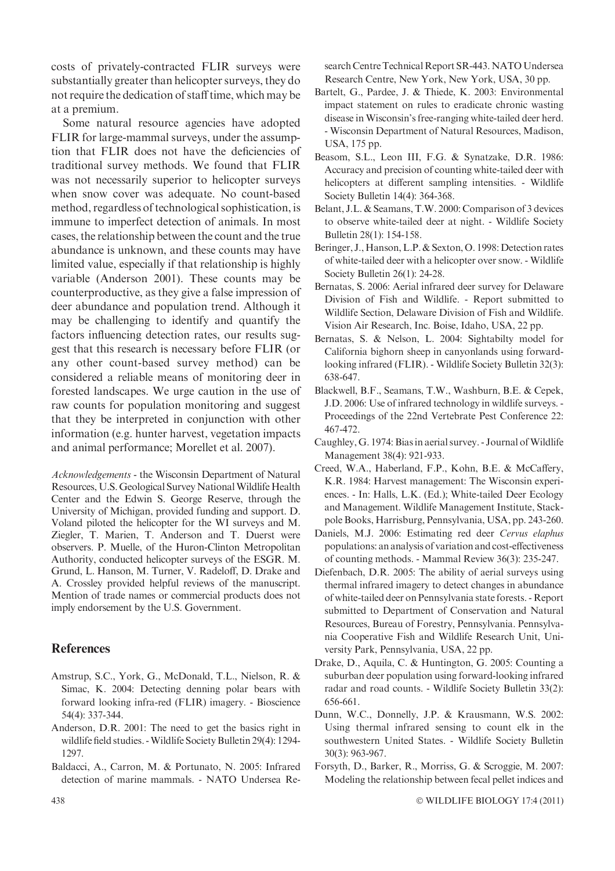costs of privately-contracted FLIR surveys were substantially greater than helicopter surveys, they do not require the dedication of staff time, which may be at a premium.

Some natural resource agencies have adopted FLIR for large-mammal surveys, under the assumption that FLIR does not have the deficiencies of traditional survey methods. We found that FLIR was not necessarily superior to helicopter surveys when snow cover was adequate. No count-based method, regardless of technological sophistication, is immune to imperfect detection of animals. In most cases, the relationship between the count and the true abundance is unknown, and these counts may have limited value, especially if that relationship is highly variable (Anderson 2001). These counts may be counterproductive, as they give a false impression of deer abundance and population trend. Although it may be challenging to identify and quantify the factors influencing detection rates, our results suggest that this research is necessary before FLIR (or any other count-based survey method) can be considered a reliable means of monitoring deer in forested landscapes. We urge caution in the use of raw counts for population monitoring and suggest that they be interpreted in conjunction with other information (e.g. hunter harvest, vegetation impacts and animal performance; Morellet et al. 2007).

Acknowledgements - the Wisconsin Department of Natural Resources, U.S. Geological Survey National Wildlife Health Center and the Edwin S. George Reserve, through the University of Michigan, provided funding and support. D. Voland piloted the helicopter for the WI surveys and M. Ziegler, T. Marien, T. Anderson and T. Duerst were observers. P. Muelle, of the Huron-Clinton Metropolitan Authority, conducted helicopter surveys of the ESGR. M. Grund, L. Hanson, M. Turner, V. Radeloff, D. Drake and A. Crossley provided helpful reviews of the manuscript. Mention of trade names or commercial products does not imply endorsement by the U.S. Government.

# **References**

- Amstrup, S.C., York, G., McDonald, T.L., Nielson, R. & Simac, K. 2004: Detecting denning polar bears with forward looking infra-red (FLIR) imagery. - Bioscience 54(4): 337-344.
- Anderson, D.R. 2001: The need to get the basics right in wildlife field studies. -Wildlife Society Bulletin 29(4): 1294- 1297.
- Baldacci, A., Carron, M. & Portunato, N. 2005: Infrared detection of marine mammals. - NATO Undersea Re-

search Centre Technical Report SR-443.NATO Undersea Research Centre, New York, New York, USA, 30 pp.

- Bartelt, G., Pardee, J. & Thiede, K. 2003: Environmental impact statement on rules to eradicate chronic wasting disease in Wisconsin's free-ranging white-tailed deer herd. - Wisconsin Department of Natural Resources, Madison, USA, 175 pp.
- Beasom, S.L., Leon III, F.G. & Synatzake, D.R. 1986: Accuracy and precision of counting white-tailed deer with helicopters at different sampling intensities. - Wildlife Society Bulletin 14(4): 364-368.
- Belant, J.L. & Seamans, T.W. 2000: Comparison of 3 devices to observe white-tailed deer at night. - Wildlife Society Bulletin 28(1): 154-158.
- Beringer, J., Hanson, L.P. & Sexton, O. 1998: Detection rates of white-tailed deer with a helicopter over snow. - Wildlife Society Bulletin 26(1): 24-28.
- Bernatas, S. 2006: Aerial infrared deer survey for Delaware Division of Fish and Wildlife. - Report submitted to Wildlife Section, Delaware Division of Fish and Wildlife. Vision Air Research, Inc. Boise, Idaho, USA, 22 pp.
- Bernatas, S. & Nelson, L. 2004: Sightabilty model for California bighorn sheep in canyonlands using forwardlooking infrared (FLIR). - Wildlife Society Bulletin 32(3): 638-647.
- Blackwell, B.F., Seamans, T.W., Washburn, B.E. & Cepek, J.D. 2006: Use of infrared technology in wildlife surveys. - Proceedings of the 22nd Vertebrate Pest Conference 22: 467-472.
- Caughley, G. 1974: Bias in aerial survey. Journal ofWildlife Management 38(4): 921-933.
- Creed, W.A., Haberland, F.P., Kohn, B.E. & McCaffery, K.R. 1984: Harvest management: The Wisconsin experiences. - In: Halls, L.K. (Ed.); White-tailed Deer Ecology and Management. Wildlife Management Institute, Stackpole Books, Harrisburg, Pennsylvania, USA, pp. 243-260.
- Daniels, M.J. 2006: Estimating red deer Cervus elaphus populations: an analysis of variation and cost-effectiveness of counting methods. - Mammal Review 36(3): 235-247.
- Diefenbach, D.R. 2005: The ability of aerial surveys using thermal infrared imagery to detect changes in abundance of white-tailed deer on Pennsylvania state forests. - Report submitted to Department of Conservation and Natural Resources, Bureau of Forestry, Pennsylvania. Pennsylvania Cooperative Fish and Wildlife Research Unit, University Park, Pennsylvania, USA, 22 pp.
- Drake, D., Aquila, C. & Huntington, G. 2005: Counting a suburban deer population using forward-looking infrared radar and road counts. - Wildlife Society Bulletin 33(2): 656-661.
- Dunn, W.C., Donnelly, J.P. & Krausmann, W.S. 2002: Using thermal infrared sensing to count elk in the southwestern United States. - Wildlife Society Bulletin 30(3): 963-967.
- Forsyth, D., Barker, R., Morriss, G. & Scroggie, M. 2007: Modeling the relationship between fecal pellet indices and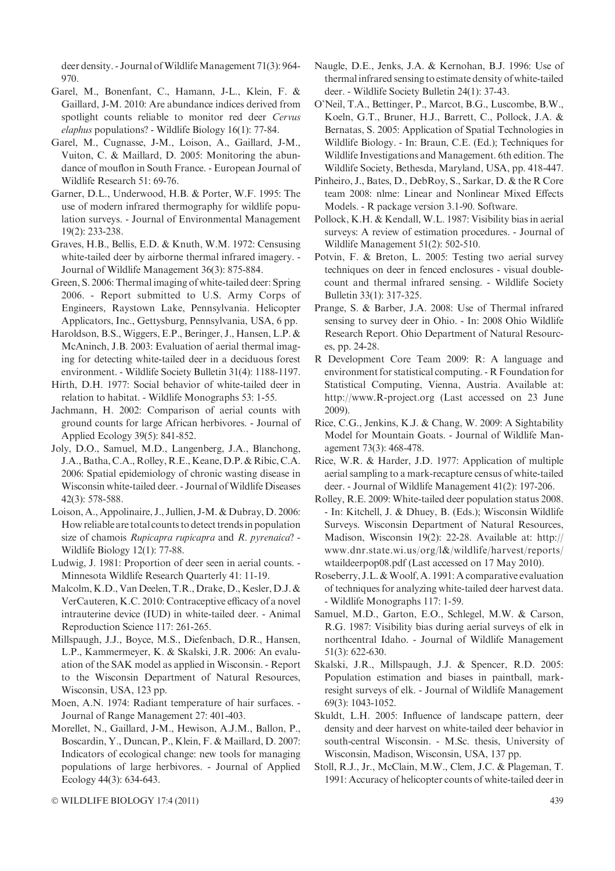deer density. - Journal of Wildlife Management 71(3): 964-970.

- Garel, M., Bonenfant, C., Hamann, J-L., Klein, F. & Gaillard, J-M. 2010: Are abundance indices derived from spotlight counts reliable to monitor red deer Cervus elaphus populations? - Wildlife Biology 16(1): 77-84.
- Garel, M., Cugnasse, J-M., Loison, A., Gaillard, J-M., Vuiton, C. & Maillard, D. 2005: Monitoring the abundance of mouflon in South France. - European Journal of Wildlife Research 51: 69-76.
- Garner, D.L., Underwood, H.B. & Porter, W.F. 1995: The use of modern infrared thermography for wildlife population surveys. - Journal of Environmental Management 19(2): 233-238.
- Graves, H.B., Bellis, E.D. & Knuth, W.M. 1972: Censusing white-tailed deer by airborne thermal infrared imagery. - Journal of Wildlife Management 36(3): 875-884.
- Green, S. 2006: Thermal imaging of white-tailed deer: Spring 2006. - Report submitted to U.S. Army Corps of Engineers, Raystown Lake, Pennsylvania. Helicopter Applicators, Inc., Gettysburg, Pennsylvania, USA, 6 pp.
- Haroldson, B.S., Wiggers, E.P., Beringer, J., Hansen, L.P. & McAninch, J.B. 2003: Evaluation of aerial thermal imaging for detecting white-tailed deer in a deciduous forest environment. - Wildlife Society Bulletin 31(4): 1188-1197.
- Hirth, D.H. 1977: Social behavior of white-tailed deer in relation to habitat. - Wildlife Monographs 53: 1-55.
- Jachmann, H. 2002: Comparison of aerial counts with ground counts for large African herbivores. - Journal of Applied Ecology 39(5): 841-852.
- Joly, D.O., Samuel, M.D., Langenberg, J.A., Blanchong, J.A., Batha, C.A., Rolley, R.E., Keane,D.P. & Ribic, C.A. 2006: Spatial epidemiology of chronic wasting disease in Wisconsin white-tailed deer. - Journal of Wildlife Diseases 42(3): 578-588.
- Loison, A., Appolinaire, J., Jullien, J-M. & Dubray, D. 2006: How reliable are total counts to detect trends in population size of chamois Rupicapra rupicapra and R. pyrenaica? -Wildlife Biology 12(1): 77-88.
- Ludwig, J. 1981: Proportion of deer seen in aerial counts. Minnesota Wildlife Research Quarterly 41: 11-19.
- Malcolm, K.D., Van Deelen, T.R., Drake, D., Kesler, D.J. & VerCauteren, K.C. 2010: Contraceptive efficacy of a novel intrauterine device (IUD) in white-tailed deer. - Animal Reproduction Science 117: 261-265.
- Millspaugh, J.J., Boyce, M.S., Diefenbach, D.R., Hansen, L.P., Kammermeyer, K. & Skalski, J.R. 2006: An evaluation of the SAK model as applied in Wisconsin. - Report to the Wisconsin Department of Natural Resources, Wisconsin, USA, 123 pp.
- Moen, A.N. 1974: Radiant temperature of hair surfaces. Journal of Range Management 27: 401-403.
- Morellet, N., Gaillard, J-M., Hewison, A.J.M., Ballon, P., Boscardin, Y., Duncan, P., Klein, F. & Maillard, D. 2007: Indicators of ecological change: new tools for managing populations of large herbivores. - Journal of Applied Ecology 44(3): 634-643.
- Naugle, D.E., Jenks, J.A. & Kernohan, B.J. 1996: Use of thermal infrared sensing to estimate density of white-tailed deer. - Wildlife Society Bulletin 24(1): 37-43.
- O'Neil, T.A., Bettinger, P., Marcot, B.G., Luscombe, B.W., Koeln, G.T., Bruner, H.J., Barrett, C., Pollock, J.A. & Bernatas, S. 2005: Application of Spatial Technologies in Wildlife Biology. - In: Braun, C.E. (Ed.); Techniques for Wildlife Investigations and Management. 6th edition. The Wildlife Society, Bethesda, Maryland, USA, pp. 418-447.
- Pinheiro, J., Bates, D., DebRoy, S., Sarkar, D. & the R Core team 2008: nlme: Linear and Nonlinear Mixed Effects Models. - R package version 3.1-90. Software.
- Pollock, K.H. & Kendall, W.L. 1987: Visibility bias in aerial surveys: A review of estimation procedures. - Journal of Wildlife Management 51(2): 502-510.
- Potvin, F. & Breton, L. 2005: Testing two aerial survey techniques on deer in fenced enclosures - visual doublecount and thermal infrared sensing. - Wildlife Society Bulletin 33(1): 317-325.
- Prange, S. & Barber, J.A. 2008: Use of Thermal infrared sensing to survey deer in Ohio. - In: 2008 Ohio Wildlife Research Report. Ohio Department of Natural Resources, pp. 24-28.
- R Development Core Team 2009: R: A language and environment for statistical computing. - R Foundation for Statistical Computing, Vienna, Austria. Available at: http://www.R-project.org (Last accessed on 23 June 2009).
- Rice, C.G., Jenkins, K.J. & Chang, W. 2009: A Sightability Model for Mountain Goats. - Journal of Wildlife Management 73(3): 468-478.
- Rice, W.R. & Harder, J.D. 1977: Application of multiple aerial sampling to a mark-recapture census of white-tailed deer. - Journal of Wildlife Management 41(2): 197-206.
- Rolley, R.E. 2009: White-tailed deer population status 2008. - In: Kitchell, J. & Dhuey, B. (Eds.); Wisconsin Wildlife Surveys. Wisconsin Department of Natural Resources, Madison, Wisconsin 19(2): 22-28. Available at: http:// www.dnr.state.wi.us/org/l&/wildlife/harvest/reports/ wtaildeerpop08.pdf (Last accessed on 17 May 2010).
- Roseberry, J.L. & Woolf, A. 1991: A comparative evaluation of techniques for analyzing white-tailed deer harvest data. - Wildlife Monographs 117: 1-59.
- Samuel, M.D., Garton, E.O., Schlegel, M.W. & Carson, R.G. 1987: Visibility bias during aerial surveys of elk in northcentral Idaho. - Journal of Wildlife Management 51(3): 622-630.
- Skalski, J.R., Millspaugh, J.J. & Spencer, R.D. 2005: Population estimation and biases in paintball, markresight surveys of elk. - Journal of Wildlife Management 69(3): 1043-1052.
- Skuldt, L.H. 2005: Influence of landscape pattern, deer density and deer harvest on white-tailed deer behavior in south-central Wisconsin. - M.Sc. thesis, University of Wisconsin, Madison, Wisconsin, USA, 137 pp.
- Stoll, R.J., Jr., McClain, M.W., Clem, J.C. & Plageman, T. 1991: Accuracy of helicopter counts of white-tailed deer in

© WILDLIFE BIOLOGY 17:4 (2011) 439